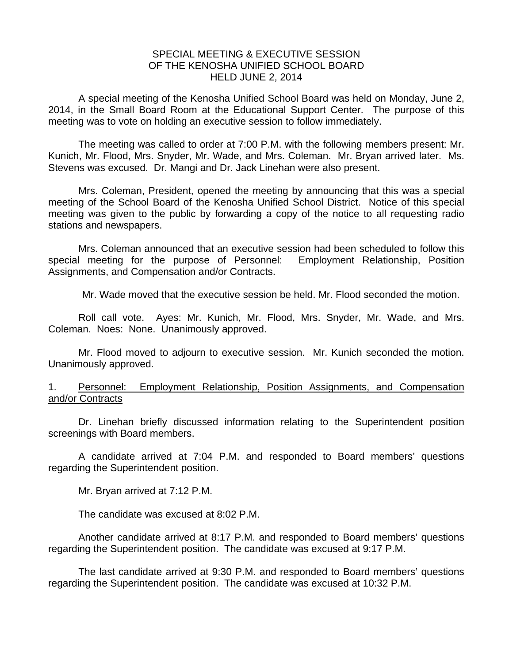## SPECIAL MEETING & EXECUTIVE SESSION OF THE KENOSHA UNIFIED SCHOOL BOARD HELD JUNE 2, 2014

A special meeting of the Kenosha Unified School Board was held on Monday, June 2, 2014, in the Small Board Room at the Educational Support Center. The purpose of this meeting was to vote on holding an executive session to follow immediately.

 The meeting was called to order at 7:00 P.M. with the following members present: Mr. Kunich, Mr. Flood, Mrs. Snyder, Mr. Wade, and Mrs. Coleman. Mr. Bryan arrived later. Ms. Stevens was excused. Dr. Mangi and Dr. Jack Linehan were also present.

 Mrs. Coleman, President, opened the meeting by announcing that this was a special meeting of the School Board of the Kenosha Unified School District. Notice of this special meeting was given to the public by forwarding a copy of the notice to all requesting radio stations and newspapers.

 Mrs. Coleman announced that an executive session had been scheduled to follow this special meeting for the purpose of Personnel: Employment Relationship, Position Assignments, and Compensation and/or Contracts.

Mr. Wade moved that the executive session be held. Mr. Flood seconded the motion.

 Roll call vote. Ayes: Mr. Kunich, Mr. Flood, Mrs. Snyder, Mr. Wade, and Mrs. Coleman. Noes: None. Unanimously approved.

 Mr. Flood moved to adjourn to executive session. Mr. Kunich seconded the motion. Unanimously approved.

## 1. Personnel: Employment Relationship, Position Assignments, and Compensation and/or Contracts

Dr. Linehan briefly discussed information relating to the Superintendent position screenings with Board members.

A candidate arrived at 7:04 P.M. and responded to Board members' questions regarding the Superintendent position.

Mr. Bryan arrived at 7:12 P.M.

The candidate was excused at 8:02 P.M.

Another candidate arrived at 8:17 P.M. and responded to Board members' questions regarding the Superintendent position. The candidate was excused at 9:17 P.M.

The last candidate arrived at 9:30 P.M. and responded to Board members' questions regarding the Superintendent position. The candidate was excused at 10:32 P.M.